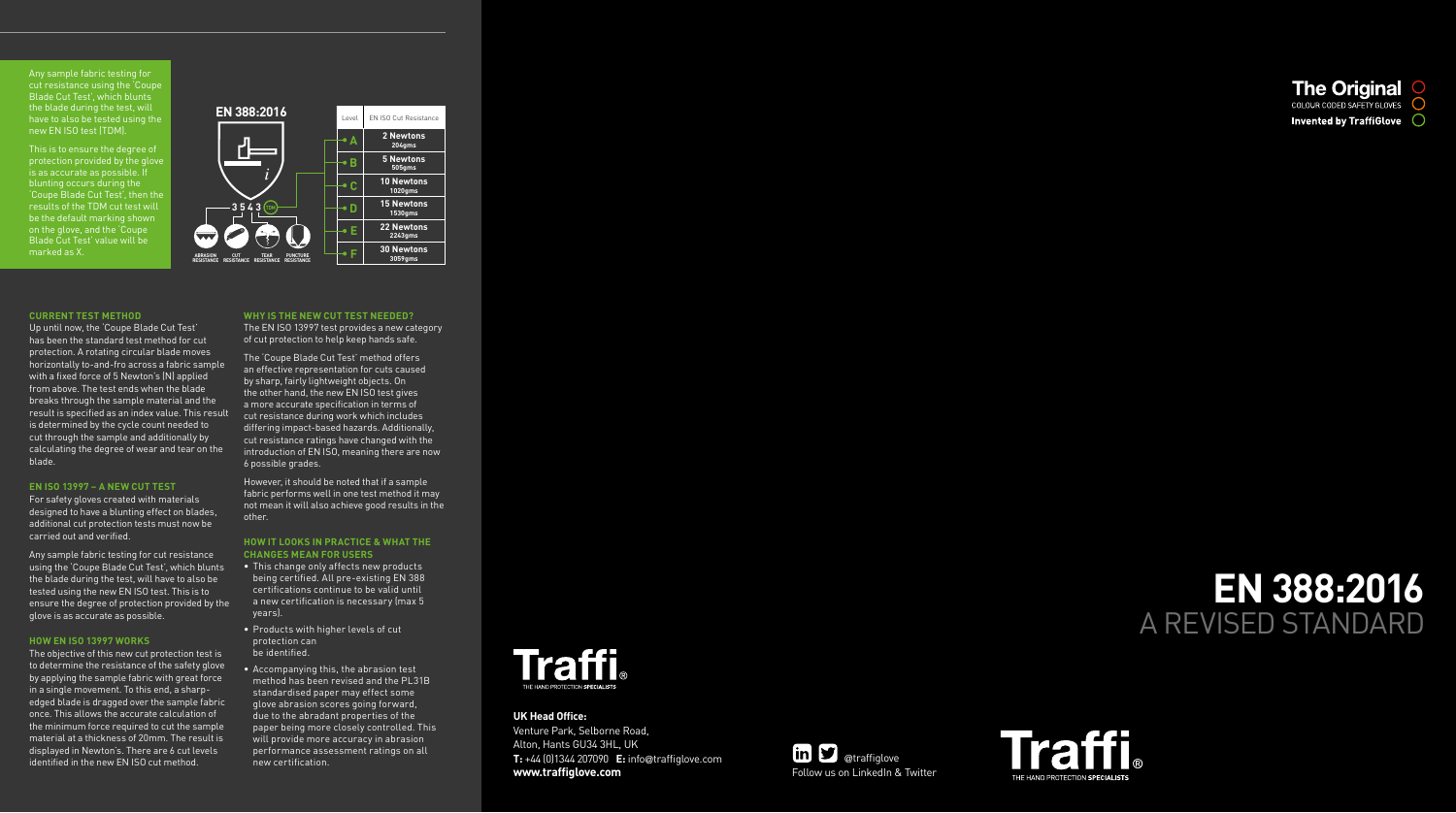# **EN 388:2016** A REVISED STANDARD



Venture Park, Selborne Road, Alton, Hants GU34 3HL, UK **T:** +44 (0)1344 207090 **E:** info @traffiglove.com **www.traffiglove.com** Follow us on LinkedIn & Twitter





### **UK Head Office:**

#### **CURRENT TEST METHOD**

Up until now, the 'Coupe Blade Cut Test' has been the standard test method for cut protection. A rotating circular blade moves horizontally to-and-fro across a fabric sample with a fixed force of 5 Newton's (N) applied from above. The test ends when the blade breaks through the sample material and the result is specified as an index value. This result is determined by the cycle count needed to cut through the sample and additionally by calculating the degree of wear and tear on the blade.

#### **EN ISO 13997 – A NEW CUT TEST**

For safety gloves created with materials designed to have a blunting effect on blades, additional cut protection tests must now be carried out and verified.

Any sample fabric testing for cut resistance using the 'Coupe Blade Cut Test', which blunts the blade during the test, will have to also be tested using the new EN ISO test. This is to ensure the degree of protection provided by the glove is as accurate as possible.

However, it should be noted that if a sample fabric performs well in one test method it may not mean it will also achieve good results in the other.

#### **HOW EN ISO 13997 WORKS**

The objective of this new cut protection test is to determine the resistance of the safety glove by applying the sample fabric with great force in a single movement. To this end, a sharpedged blade is dragged over the sample fabric once. This allows the accurate calculation of the minimum force required to cut the sample material at a thickness of 20mm. The result is displayed in Newton's. There are 6 cut levels identified in the new EN ISO cut method.

#### **WHY IS THE NEW CUT TEST NEEDED?**

The EN ISO 13997 test provides a new category of cut protection to help keep hands safe.

The 'Coupe Blade Cut Test' method offers an effective representation for cuts caused by sharp, fairly lightweight objects. On the other hand, the new EN ISO test gives a more accurate specification in terms of cut resistance during work which includes differing impact-based hazards. Additionally, cut resistance ratings have changed with the introduction of EN ISO, meaning there are now 6 possible grades.

#### **HOW IT LOOKS IN PRACTICE & WHAT THE CHANGES MEAN FOR USERS**

- This change only affects new products being certified. All pre-existing EN 388 certifications continue to be valid until a new certification is necessary (max 5 years).
- Products with higher levels of cut protection can be identified.
- Accompanying this, the abrasion test method has been revised and the PL31B standardised paper may effect some glove abrasion scores going forward, due to the abradant properties of the paper being more closely controlled. This will provide more accuracy in abrasion performance assessment ratings on all new certification.





Any sample fabric testing for cut resistance using the 'Coupe Blade Cut Test', which blunts the blade during the test, will have to also be tested using the new EN ISO test (TDM).

This is to ensure the degree of protection provided by the glove is as accurate as possible. If blunting occurs during the 'Coupe Blade Cut Test', then the results of the TDM cut test will be the default marking shown on the glove, and the 'Coupe Blade Cut Test' value will be marked as X.